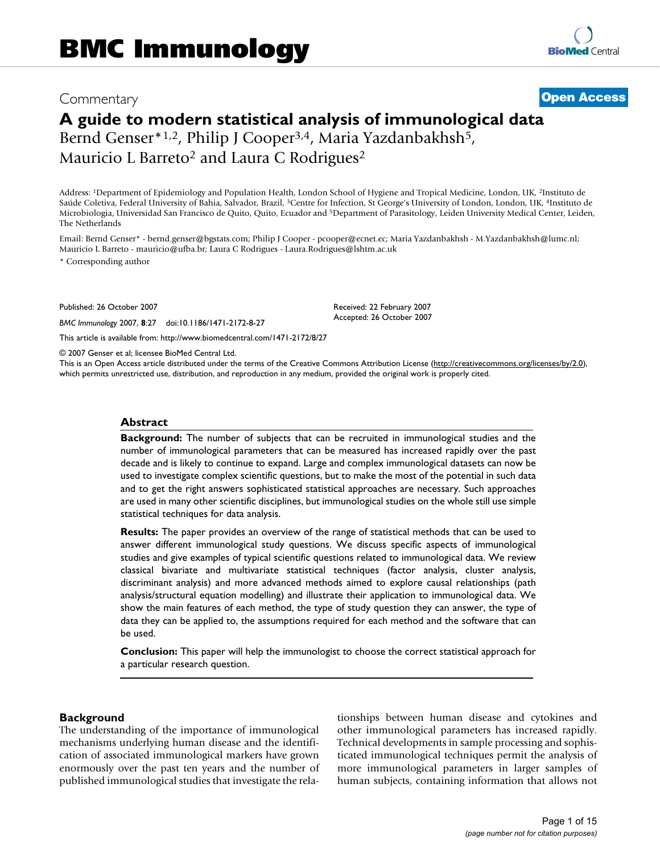# Commentary **[Open Access](http://www.biomedcentral.com/info/about/charter/)**

# **A guide to modern statistical analysis of immunological data** Bernd Genser<sup>\*1,2</sup>, Philip J Cooper<sup>3,4</sup>, Maria Yazdanbakhsh<sup>5</sup>, Mauricio L Barreto<sup>2</sup> and Laura C Rodrigues<sup>2</sup>

Address: 1Department of Epidemiology and Population Health, London School of Hygiene and Tropical Medicine, London, UK, 2Instituto de Saúde Coletiva, Federal University of Bahia, Salvador, Brazil, 3Centre for Infection, St George's University of London, London, UK, 4Instituto de Microbiologia, Universidad San Francisco de Quito, Quito, Ecuador and 5Department of Parasitology, Leiden University Medical Center, Leiden, The Netherlands

Email: Bernd Genser\* - bernd.genser@bgstats.com; Philip J Cooper - pcooper@ecnet.ec; Maria Yazdanbakhsh - M.Yazdanbakhsh@lumc.nl; Mauricio L Barreto - mauricio@ufba.br; Laura C Rodrigues - Laura.Rodrigues@lshtm.ac.uk

\* Corresponding author

Published: 26 October 2007

*BMC Immunology* 2007, **8**:27 doi:10.1186/1471-2172-8-27

[This article is available from: http://www.biomedcentral.com/1471-2172/8/27](http://www.biomedcentral.com/1471-2172/8/27)

© 2007 Genser et al; licensee BioMed Central Ltd.

This is an Open Access article distributed under the terms of the Creative Commons Attribution License [\(http://creativecommons.org/licenses/by/2.0\)](http://creativecommons.org/licenses/by/2.0), which permits unrestricted use, distribution, and reproduction in any medium, provided the original work is properly cited.

Received: 22 February 2007 Accepted: 26 October 2007

#### **Abstract**

**Background:** The number of subjects that can be recruited in immunological studies and the number of immunological parameters that can be measured has increased rapidly over the past decade and is likely to continue to expand. Large and complex immunological datasets can now be used to investigate complex scientific questions, but to make the most of the potential in such data and to get the right answers sophisticated statistical approaches are necessary. Such approaches are used in many other scientific disciplines, but immunological studies on the whole still use simple statistical techniques for data analysis.

**Results:** The paper provides an overview of the range of statistical methods that can be used to answer different immunological study questions. We discuss specific aspects of immunological studies and give examples of typical scientific questions related to immunological data. We review classical bivariate and multivariate statistical techniques (factor analysis, cluster analysis, discriminant analysis) and more advanced methods aimed to explore causal relationships (path analysis/structural equation modelling) and illustrate their application to immunological data. We show the main features of each method, the type of study question they can answer, the type of data they can be applied to, the assumptions required for each method and the software that can be used.

**Conclusion:** This paper will help the immunologist to choose the correct statistical approach for a particular research question.

#### **Background**

The understanding of the importance of immunological mechanisms underlying human disease and the identification of associated immunological markers have grown enormously over the past ten years and the number of published immunological studies that investigate the relationships between human disease and cytokines and other immunological parameters has increased rapidly. Technical developments in sample processing and sophisticated immunological techniques permit the analysis of more immunological parameters in larger samples of human subjects, containing information that allows not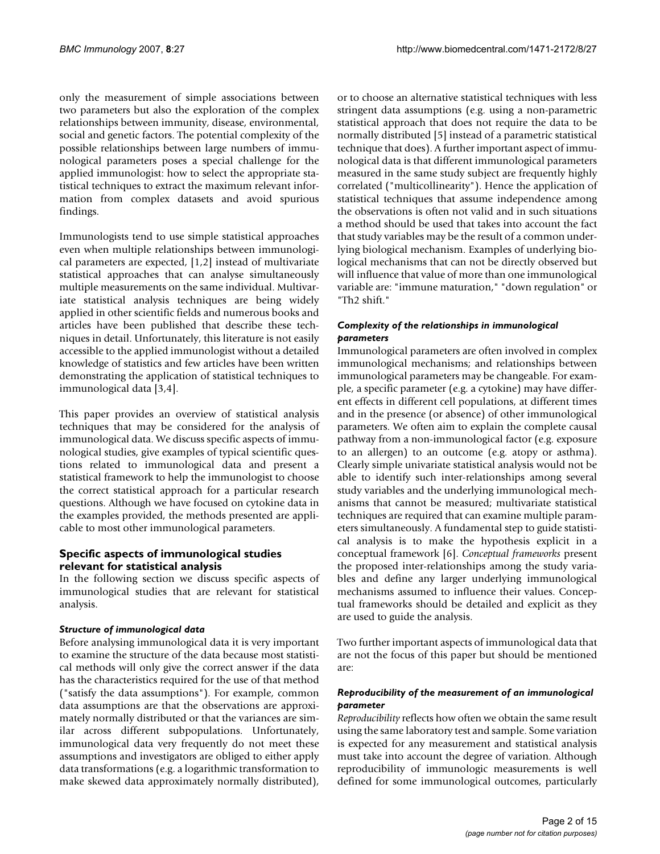only the measurement of simple associations between two parameters but also the exploration of the complex relationships between immunity, disease, environmental, social and genetic factors. The potential complexity of the possible relationships between large numbers of immunological parameters poses a special challenge for the applied immunologist: how to select the appropriate statistical techniques to extract the maximum relevant information from complex datasets and avoid spurious findings.

Immunologists tend to use simple statistical approaches even when multiple relationships between immunological parameters are expected, [1,2] instead of multivariate statistical approaches that can analyse simultaneously multiple measurements on the same individual. Multivariate statistical analysis techniques are being widely applied in other scientific fields and numerous books and articles have been published that describe these techniques in detail. Unfortunately, this literature is not easily accessible to the applied immunologist without a detailed knowledge of statistics and few articles have been written demonstrating the application of statistical techniques to immunological data [3,4].

This paper provides an overview of statistical analysis techniques that may be considered for the analysis of immunological data. We discuss specific aspects of immunological studies, give examples of typical scientific questions related to immunological data and present a statistical framework to help the immunologist to choose the correct statistical approach for a particular research questions. Although we have focused on cytokine data in the examples provided, the methods presented are applicable to most other immunological parameters.

# **Specific aspects of immunological studies relevant for statistical analysis**

In the following section we discuss specific aspects of immunological studies that are relevant for statistical analysis.

# *Structure of immunological data*

Before analysing immunological data it is very important to examine the structure of the data because most statistical methods will only give the correct answer if the data has the characteristics required for the use of that method ("satisfy the data assumptions"). For example, common data assumptions are that the observations are approximately normally distributed or that the variances are similar across different subpopulations. Unfortunately, immunological data very frequently do not meet these assumptions and investigators are obliged to either apply data transformations (e.g. a logarithmic transformation to make skewed data approximately normally distributed),

or to choose an alternative statistical techniques with less stringent data assumptions (e.g. using a non-parametric statistical approach that does not require the data to be normally distributed [5] instead of a parametric statistical technique that does). A further important aspect of immunological data is that different immunological parameters measured in the same study subject are frequently highly correlated ("multicollinearity"). Hence the application of statistical techniques that assume independence among the observations is often not valid and in such situations a method should be used that takes into account the fact that study variables may be the result of a common underlying biological mechanism. Examples of underlying biological mechanisms that can not be directly observed but will influence that value of more than one immunological variable are: "immune maturation," "down regulation" or "Th2 shift."

# *Complexity of the relationships in immunological parameters*

Immunological parameters are often involved in complex immunological mechanisms; and relationships between immunological parameters may be changeable. For example, a specific parameter (e.g. a cytokine) may have different effects in different cell populations, at different times and in the presence (or absence) of other immunological parameters. We often aim to explain the complete causal pathway from a non-immunological factor (e.g. exposure to an allergen) to an outcome (e.g. atopy or asthma). Clearly simple univariate statistical analysis would not be able to identify such inter-relationships among several study variables and the underlying immunological mechanisms that cannot be measured; multivariate statistical techniques are required that can examine multiple parameters simultaneously. A fundamental step to guide statistical analysis is to make the hypothesis explicit in a conceptual framework [6]. *Conceptual frameworks* present the proposed inter-relationships among the study variables and define any larger underlying immunological mechanisms assumed to influence their values. Conceptual frameworks should be detailed and explicit as they are used to guide the analysis.

Two further important aspects of immunological data that are not the focus of this paper but should be mentioned are:

# *Reproducibility of the measurement of an immunological parameter*

*Reproducibility* reflects how often we obtain the same result using the same laboratory test and sample. Some variation is expected for any measurement and statistical analysis must take into account the degree of variation. Although reproducibility of immunologic measurements is well defined for some immunological outcomes, particularly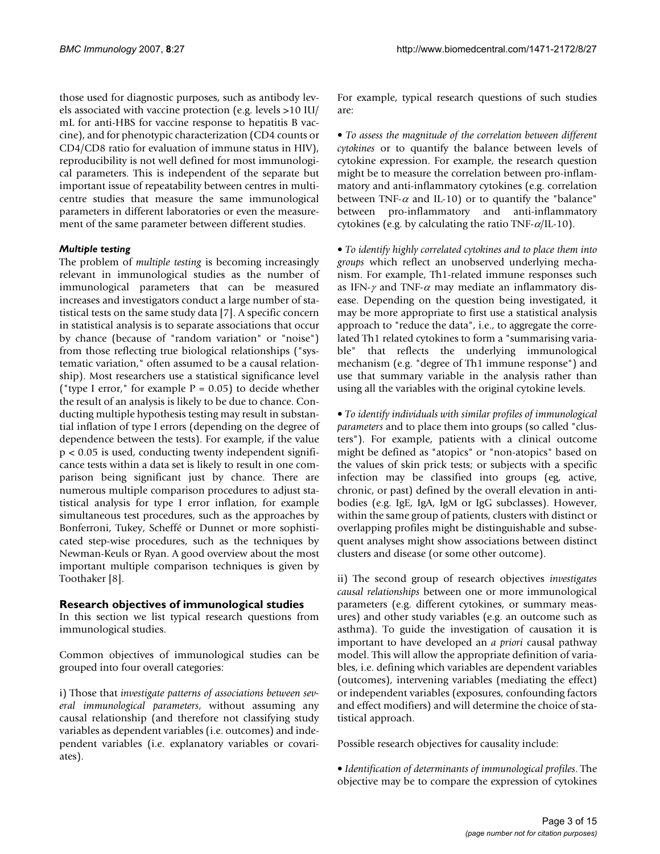those used for diagnostic purposes, such as antibody levels associated with vaccine protection (e.g. levels >10 IU/ mL for anti-HBS for vaccine response to hepatitis B vaccine), and for phenotypic characterization (CD4 counts or CD4/CD8 ratio for evaluation of immune status in HIV), reproducibility is not well defined for most immunological parameters. This is independent of the separate but important issue of repeatability between centres in multicentre studies that measure the same immunological parameters in different laboratories or even the measurement of the same parameter between different studies.

#### *Multiple testing*

The problem of *multiple testing* is becoming increasingly relevant in immunological studies as the number of immunological parameters that can be measured increases and investigators conduct a large number of statistical tests on the same study data [7]. A specific concern in statistical analysis is to separate associations that occur by chance (because of "random variation" or "noise") from those reflecting true biological relationships ("systematic variation," often assumed to be a causal relationship). Most researchers use a statistical significance level ("type I error," for example  $P = 0.05$ ) to decide whether the result of an analysis is likely to be due to chance. Conducting multiple hypothesis testing may result in substantial inflation of type I errors (depending on the degree of dependence between the tests). For example, if the value p < 0.05 is used, conducting twenty independent significance tests within a data set is likely to result in one comparison being significant just by chance. There are numerous multiple comparison procedures to adjust statistical analysis for type I error inflation, for example simultaneous test procedures, such as the approaches by Bonferroni, Tukey, Scheffé or Dunnet or more sophisticated step-wise procedures, such as the techniques by Newman-Keuls or Ryan. A good overview about the most important multiple comparison techniques is given by Toothaker [8].

## **Research objectives of immunological studies**

In this section we list typical research questions from immunological studies.

Common objectives of immunological studies can be grouped into four overall categories:

i) Those that *investigate patterns of associations between several immunological parameters*, without assuming any causal relationship (and therefore not classifying study variables as dependent variables (i.e. outcomes) and independent variables (i.e. explanatory variables or covariates).

For example, typical research questions of such studies are:

• *To assess the magnitude of the correlation between different cytokines* or to quantify the balance between levels of cytokine expression. For example, the research question might be to measure the correlation between pro-inflammatory and anti-inflammatory cytokines (e.g. correlation between TNF- $\alpha$  and IL-10) or to quantify the "balance" between pro-inflammatory and anti-inflammatory cytokines (e.g. by calculating the ratio TNF- $\alpha$ /IL-10).

• *To identify highly correlated cytokines and to place them into groups* which reflect an unobserved underlying mechanism. For example, Th1-related immune responses such as IFN- $\gamma$  and TNF- $\alpha$  may mediate an inflammatory disease. Depending on the question being investigated, it may be more appropriate to first use a statistical analysis approach to "reduce the data", i.e., to aggregate the correlated Th1 related cytokines to form a "summarising variable" that reflects the underlying immunological mechanism (e.g. "degree of Th1 immune response") and use that summary variable in the analysis rather than using all the variables with the original cytokine levels.

• *To identify individuals with similar profiles of immunological parameters* and to place them into groups (so called "clusters"). For example, patients with a clinical outcome might be defined as "atopics" or "non-atopics" based on the values of skin prick tests; or subjects with a specific infection may be classified into groups (eg, active, chronic, or past) defined by the overall elevation in antibodies (e.g. IgE, IgA, IgM or IgG subclasses). However, within the same group of patients, clusters with distinct or overlapping profiles might be distinguishable and subsequent analyses might show associations between distinct clusters and disease (or some other outcome).

ii) The second group of research objectives *investigates causal relationships* between one or more immunological parameters (e.g. different cytokines, or summary measures) and other study variables (e.g. an outcome such as asthma). To guide the investigation of causation it is important to have developed an *a priori* causal pathway model. This will allow the appropriate definition of variables, i.e. defining which variables are dependent variables (outcomes), intervening variables (mediating the effect) or independent variables (exposures, confounding factors and effect modifiers) and will determine the choice of statistical approach.

Possible research objectives for causality include:

• *Identification of determinants of immunological profiles*. The objective may be to compare the expression of cytokines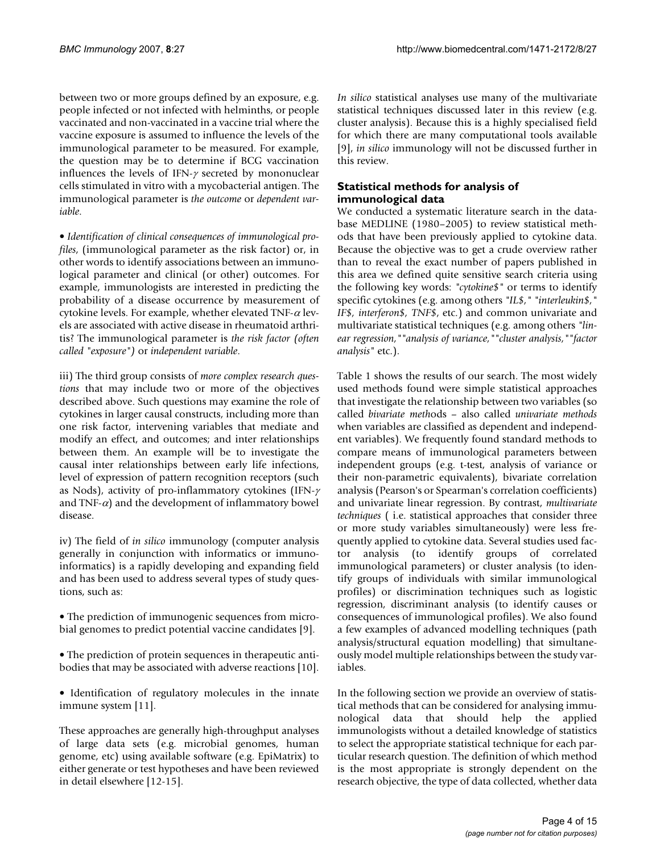between two or more groups defined by an exposure, e.g. people infected or not infected with helminths, or people vaccinated and non-vaccinated in a vaccine trial where the vaccine exposure is assumed to influence the levels of the immunological parameter to be measured. For example, the question may be to determine if BCG vaccination influences the levels of IFN- $\gamma$  secreted by mononuclear cells stimulated in vitro with a mycobacterial antigen. The immunological parameter is *the outcome* or *dependent variable*.

• *Identification of clinical consequences of immunological profiles*, (immunological parameter as the risk factor) or, in other words to identify associations between an immunological parameter and clinical (or other) outcomes. For example, immunologists are interested in predicting the probability of a disease occurrence by measurement of cytokine levels. For example, whether elevated TNF- $\alpha$  levels are associated with active disease in rheumatoid arthritis? The immunological parameter is *the risk factor (often called "exposure")* or *independent variable*.

iii) The third group consists of *more complex research questions* that may include two or more of the objectives described above. Such questions may examine the role of cytokines in larger causal constructs, including more than one risk factor, intervening variables that mediate and modify an effect, and outcomes; and inter relationships between them. An example will be to investigate the causal inter relationships between early life infections, level of expression of pattern recognition receptors (such as Nods), activity of pro-inflammatory cytokines (IFN-<sup>γ</sup> and TNF- $\alpha$ ) and the development of inflammatory bowel disease.

iv) The field of *in silico* immunology (computer analysis generally in conjunction with informatics or immunoinformatics) is a rapidly developing and expanding field and has been used to address several types of study questions, such as:

• The prediction of immunogenic sequences from microbial genomes to predict potential vaccine candidates [9].

• The prediction of protein sequences in therapeutic antibodies that may be associated with adverse reactions [10].

• Identification of regulatory molecules in the innate immune system [11].

These approaches are generally high-throughput analyses of large data sets (e.g. microbial genomes, human genome, etc) using available software (e.g. EpiMatrix) to either generate or test hypotheses and have been reviewed in detail elsewhere [12-15].

*In silico* statistical analyses use many of the multivariate statistical techniques discussed later in this review (e.g. cluster analysis). Because this is a highly specialised field for which there are many computational tools available [9], *in silico* immunology will not be discussed further in this review.

# **Statistical methods for analysis of immunological data**

We conducted a systematic literature search in the database MEDLINE (1980–2005) to review statistical methods that have been previously applied to cytokine data. Because the objective was to get a crude overview rather than to reveal the exact number of papers published in this area we defined quite sensitive search criteria using the following key words: *"cytokine\$"* or terms to identify specific cytokines (e.g. among others *"IL\$," "interleukin\$," IF\$, interferon\$, TNF\$*, etc.) and common univariate and multivariate statistical techniques (e.g. among others *"linear regression,""analysis of variance,""cluster analysis,""factor analysis"* etc.).

Table 1 shows the results of our search. The most widely used methods found were simple statistical approaches that investigate the relationship between two variables (so called *bivariate meth*ods – also called *univariate methods* when variables are classified as dependent and independent variables). We frequently found standard methods to compare means of immunological parameters between independent groups (e.g. t-test, analysis of variance or their non-parametric equivalents), bivariate correlation analysis (Pearson's or Spearman's correlation coefficients) and univariate linear regression. By contrast, *multivariate techniques* ( i.e. statistical approaches that consider three or more study variables simultaneously) were less frequently applied to cytokine data. Several studies used factor analysis (to identify groups of correlated immunological parameters) or cluster analysis (to identify groups of individuals with similar immunological profiles) or discrimination techniques such as logistic regression, discriminant analysis (to identify causes or consequences of immunological profiles). We also found a few examples of advanced modelling techniques (path analysis/structural equation modelling) that simultaneously model multiple relationships between the study variables.

In the following section we provide an overview of statistical methods that can be considered for analysing immunological data that should help the applied immunologists without a detailed knowledge of statistics to select the appropriate statistical technique for each particular research question. The definition of which method is the most appropriate is strongly dependent on the research objective, the type of data collected, whether data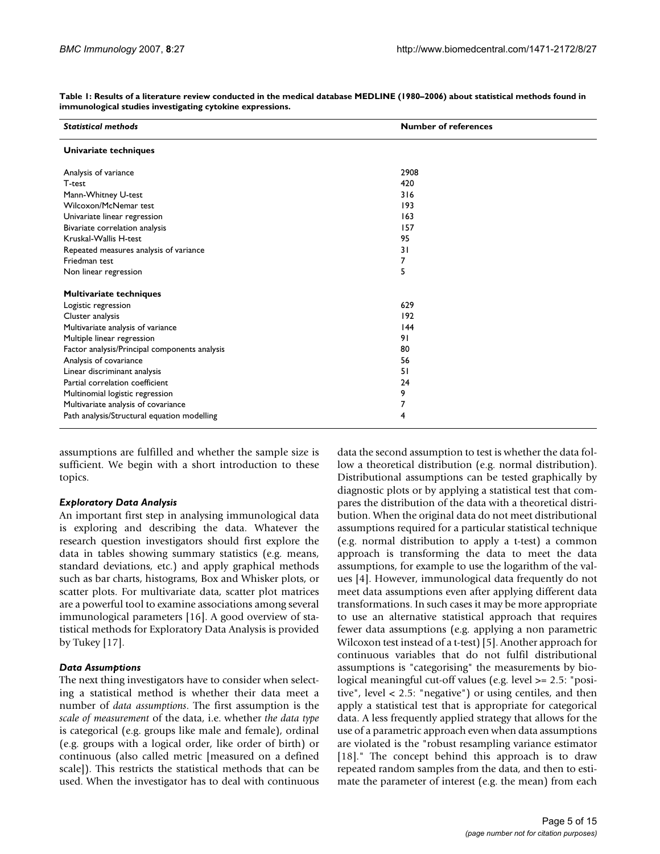| <b>Statistical methods</b>                    | <b>Number of references</b> |  |
|-----------------------------------------------|-----------------------------|--|
| Univariate techniques                         |                             |  |
| Analysis of variance                          | 2908                        |  |
| T-test                                        | 420                         |  |
| Mann-Whitney U-test                           | 316                         |  |
| Wilcoxon/McNemar test                         | 193                         |  |
| Univariate linear regression                  | 163                         |  |
| Bivariate correlation analysis                | 157                         |  |
| Kruskal-Wallis H-test                         | 95                          |  |
| Repeated measures analysis of variance        | 31                          |  |
| Friedman test                                 | 7                           |  |
| Non linear regression                         | 5                           |  |
| <b>Multivariate techniques</b>                |                             |  |
| Logistic regression                           | 629                         |  |
| Cluster analysis                              | 192                         |  |
| Multivariate analysis of variance             | 44                          |  |
| Multiple linear regression                    | 91                          |  |
| Factor analysis/Principal components analysis | 80                          |  |
| Analysis of covariance                        | 56                          |  |
| Linear discriminant analysis                  | 51                          |  |
| Partial correlation coefficient               | 24                          |  |
| Multinomial logistic regression               | 9                           |  |
| Multivariate analysis of covariance           | 7                           |  |
| Path analysis/Structural equation modelling   | 4                           |  |

**Table 1: Results of a literature review conducted in the medical database MEDLINE (1980–2006) about statistical methods found in immunological studies investigating cytokine expressions.**

assumptions are fulfilled and whether the sample size is sufficient. We begin with a short introduction to these topics.

#### *Exploratory Data Analysis*

An important first step in analysing immunological data is exploring and describing the data. Whatever the research question investigators should first explore the data in tables showing summary statistics (e.g. means, standard deviations, etc.) and apply graphical methods such as bar charts, histograms, Box and Whisker plots, or scatter plots. For multivariate data, scatter plot matrices are a powerful tool to examine associations among several immunological parameters [16]. A good overview of statistical methods for Exploratory Data Analysis is provided by Tukey [17].

#### *Data Assumptions*

The next thing investigators have to consider when selecting a statistical method is whether their data meet a number of *data assumptions*. The first assumption is the *scale of measurement* of the data, i.e. whether *the data type* is categorical (e.g. groups like male and female), ordinal (e.g. groups with a logical order, like order of birth) or continuous (also called metric [measured on a defined scale]). This restricts the statistical methods that can be used. When the investigator has to deal with continuous data the second assumption to test is whether the data follow a theoretical distribution (e.g. normal distribution). Distributional assumptions can be tested graphically by diagnostic plots or by applying a statistical test that compares the distribution of the data with a theoretical distribution. When the original data do not meet distributional assumptions required for a particular statistical technique (e.g. normal distribution to apply a t-test) a common approach is transforming the data to meet the data assumptions, for example to use the logarithm of the values [4]. However, immunological data frequently do not meet data assumptions even after applying different data transformations. In such cases it may be more appropriate to use an alternative statistical approach that requires fewer data assumptions (e.g. applying a non parametric Wilcoxon test instead of a t-test) [5]. Another approach for continuous variables that do not fulfil distributional assumptions is "categorising" the measurements by biological meaningful cut-off values (e.g. level >= 2.5: "positive", level < 2.5: "negative") or using centiles, and then apply a statistical test that is appropriate for categorical data. A less frequently applied strategy that allows for the use of a parametric approach even when data assumptions are violated is the "robust resampling variance estimator [18]." The concept behind this approach is to draw repeated random samples from the data, and then to estimate the parameter of interest (e.g. the mean) from each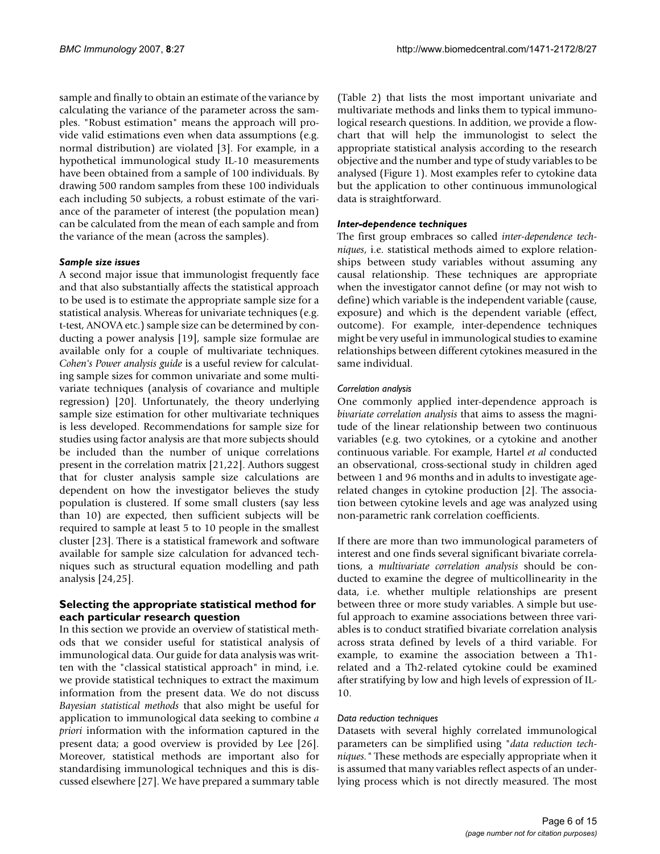sample and finally to obtain an estimate of the variance by calculating the variance of the parameter across the samples. "Robust estimation" means the approach will provide valid estimations even when data assumptions (e.g. normal distribution) are violated [3]. For example, in a hypothetical immunological study IL-10 measurements have been obtained from a sample of 100 individuals. By drawing 500 random samples from these 100 individuals each including 50 subjects, a robust estimate of the variance of the parameter of interest (the population mean) can be calculated from the mean of each sample and from the variance of the mean (across the samples).

#### *Sample size issues*

A second major issue that immunologist frequently face and that also substantially affects the statistical approach to be used is to estimate the appropriate sample size for a statistical analysis. Whereas for univariate techniques (e.g. t-test, ANOVA etc.) sample size can be determined by conducting a power analysis [19], sample size formulae are available only for a couple of multivariate techniques. *Cohen's Power analysis guide* is a useful review for calculating sample sizes for common univariate and some multivariate techniques (analysis of covariance and multiple regression) [20]. Unfortunately, the theory underlying sample size estimation for other multivariate techniques is less developed. Recommendations for sample size for studies using factor analysis are that more subjects should be included than the number of unique correlations present in the correlation matrix [21,22]. Authors suggest that for cluster analysis sample size calculations are dependent on how the investigator believes the study population is clustered. If some small clusters (say less than 10) are expected, then sufficient subjects will be required to sample at least 5 to 10 people in the smallest cluster [23]. There is a statistical framework and software available for sample size calculation for advanced techniques such as structural equation modelling and path analysis [24,25].

# **Selecting the appropriate statistical method for each particular research question**

In this section we provide an overview of statistical methods that we consider useful for statistical analysis of immunological data. Our guide for data analysis was written with the "classical statistical approach" in mind, i.e. we provide statistical techniques to extract the maximum information from the present data. We do not discuss *Bayesian statistical methods* that also might be useful for application to immunological data seeking to combine *a priori* information with the information captured in the present data; a good overview is provided by Lee [26]. Moreover, statistical methods are important also for standardising immunological techniques and this is discussed elsewhere [27]. We have prepared a summary table (Table 2) that lists the most important univariate and multivariate methods and links them to typical immunological research questions. In addition, we provide a flowchart that will help the immunologist to select the appropriate statistical analysis according to the research objective and the number and type of study variables to be analysed (Figure 1). Most examples refer to cytokine data but the application to other continuous immunological data is straightforward.

#### *Inter-dependence techniques*

The first group embraces so called *inter-dependence techniques*, i.e. statistical methods aimed to explore relationships between study variables without assuming any causal relationship. These techniques are appropriate when the investigator cannot define (or may not wish to define) which variable is the independent variable (cause, exposure) and which is the dependent variable (effect, outcome). For example, inter-dependence techniques might be very useful in immunological studies to examine relationships between different cytokines measured in the same individual.

#### *Correlation analysis*

One commonly applied inter-dependence approach is *bivariate correlation analysis* that aims to assess the magnitude of the linear relationship between two continuous variables (e.g. two cytokines, or a cytokine and another continuous variable. For example, Hartel *et al* conducted an observational, cross-sectional study in children aged between 1 and 96 months and in adults to investigate agerelated changes in cytokine production [2]. The association between cytokine levels and age was analyzed using non-parametric rank correlation coefficients.

If there are more than two immunological parameters of interest and one finds several significant bivariate correlations, a *multivariate correlation analysis* should be conducted to examine the degree of multicollinearity in the data, i.e. whether multiple relationships are present between three or more study variables. A simple but useful approach to examine associations between three variables is to conduct stratified bivariate correlation analysis across strata defined by levels of a third variable. For example, to examine the association between a Th1 related and a Th2-related cytokine could be examined after stratifying by low and high levels of expression of IL-10.

#### *Data reduction techniques*

Datasets with several highly correlated immunological parameters can be simplified using "*data reduction techniques."* These methods are especially appropriate when it is assumed that many variables reflect aspects of an underlying process which is not directly measured. The most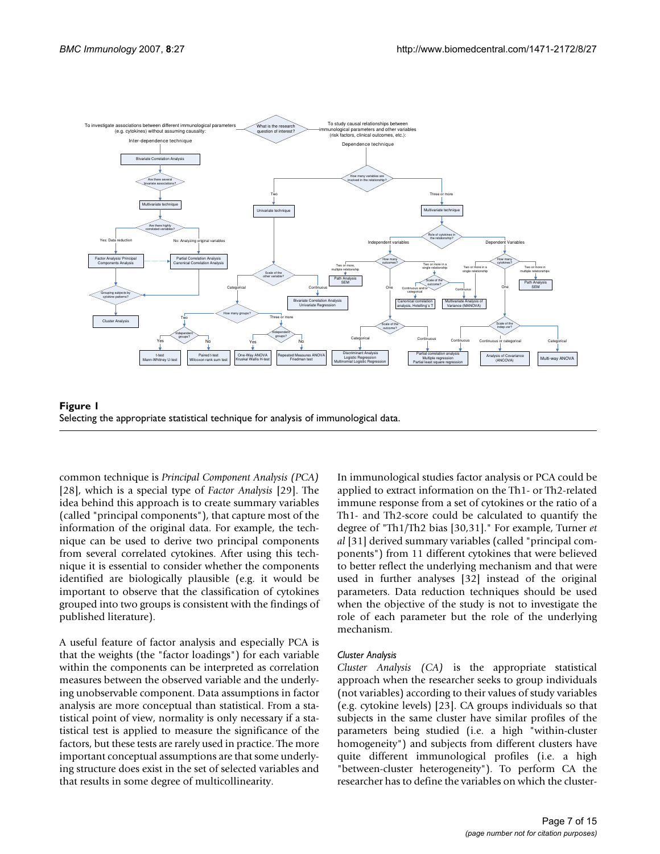

 $$ Selecting the appropriate statistical technique for analysis of immunological data.

common technique is *Principal Component Analysis (PCA)* [28], which is a special type of *Factor Analysis* [29]. The idea behind this approach is to create summary variables (called "principal components"), that capture most of the information of the original data. For example, the technique can be used to derive two principal components from several correlated cytokines. After using this technique it is essential to consider whether the components identified are biologically plausible (e.g. it would be important to observe that the classification of cytokines grouped into two groups is consistent with the findings of published literature).

A useful feature of factor analysis and especially PCA is that the weights (the "factor loadings") for each variable within the components can be interpreted as correlation measures between the observed variable and the underlying unobservable component. Data assumptions in factor analysis are more conceptual than statistical. From a statistical point of view, normality is only necessary if a statistical test is applied to measure the significance of the factors, but these tests are rarely used in practice. The more important conceptual assumptions are that some underlying structure does exist in the set of selected variables and that results in some degree of multicollinearity.

In immunological studies factor analysis or PCA could be applied to extract information on the Th1- or Th2-related immune response from a set of cytokines or the ratio of a Th1- and Th2-score could be calculated to quantify the degree of "Th1/Th2 bias [30,31]." For example, Turner *et al* [31] derived summary variables (called "principal components") from 11 different cytokines that were believed to better reflect the underlying mechanism and that were used in further analyses [32] instead of the original parameters. Data reduction techniques should be used when the objective of the study is not to investigate the role of each parameter but the role of the underlying mechanism.

#### *Cluster Analysis*

*Cluster Analysis (CA)* is the appropriate statistical approach when the researcher seeks to group individuals (not variables) according to their values of study variables (e.g. cytokine levels) [23]. CA groups individuals so that subjects in the same cluster have similar profiles of the parameters being studied (i.e. a high "within-cluster homogeneity") and subjects from different clusters have quite different immunological profiles (i.e. a high "between-cluster heterogeneity"). To perform CA the researcher has to define the variables on which the cluster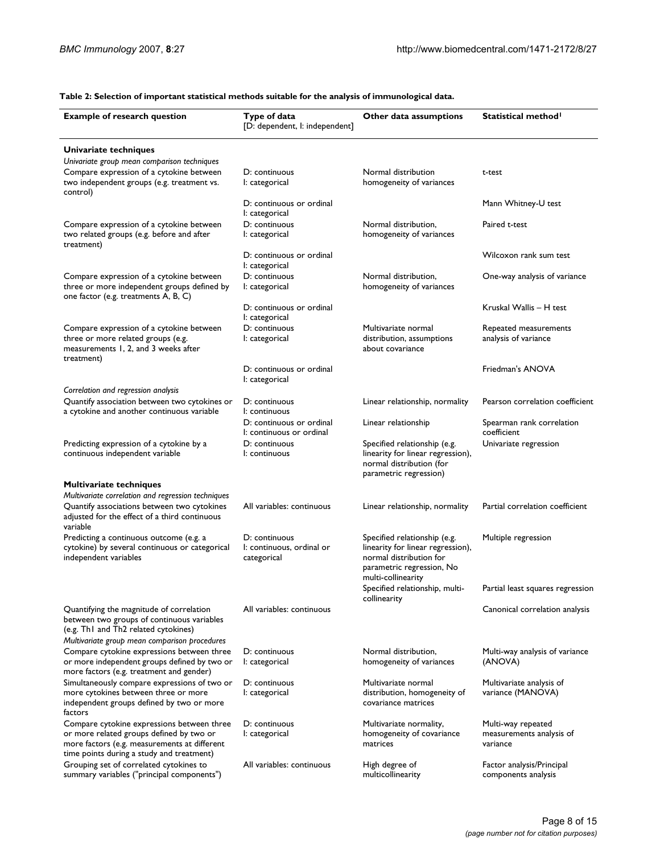**Table 2: Selection of important statistical methods suitable for the analysis of immunological data.**

| <b>Example of research question</b>                                                                                                                                                 | Type of data<br>[D: dependent, l: independent]            | Other data assumptions                                                                                                                          | Statistical method <sup>1</sup>                            |
|-------------------------------------------------------------------------------------------------------------------------------------------------------------------------------------|-----------------------------------------------------------|-------------------------------------------------------------------------------------------------------------------------------------------------|------------------------------------------------------------|
| Univariate techniques<br>Univariate group mean comparison techniques                                                                                                                |                                                           |                                                                                                                                                 |                                                            |
| Compare expression of a cytokine between<br>two independent groups (e.g. treatment vs.<br>control)                                                                                  | D: continuous<br>I: categorical                           | Normal distribution<br>homogeneity of variances                                                                                                 | t-test                                                     |
|                                                                                                                                                                                     | D: continuous or ordinal<br>I: categorical                |                                                                                                                                                 | Mann Whitney-U test                                        |
| Compare expression of a cytokine between<br>two related groups (e.g. before and after<br>treatment)                                                                                 | D: continuous<br>I: categorical                           | Normal distribution,<br>homogeneity of variances                                                                                                | Paired t-test                                              |
|                                                                                                                                                                                     | D: continuous or ordinal<br>I: categorical                |                                                                                                                                                 | Wilcoxon rank sum test                                     |
| Compare expression of a cytokine between<br>three or more independent groups defined by<br>one factor (e.g. treatments A, B, C)                                                     | D: continuous<br>I: categorical                           | Normal distribution,<br>homogeneity of variances                                                                                                | One-way analysis of variance                               |
|                                                                                                                                                                                     | D: continuous or ordinal<br>I: categorical                |                                                                                                                                                 | Kruskal Wallis - H test                                    |
| Compare expression of a cytokine between<br>three or more related groups (e.g.<br>measurements 1, 2, and 3 weeks after<br>treatment)                                                | D: continuous<br>I: categorical                           | Multivariate normal<br>distribution, assumptions<br>about covariance                                                                            | Repeated measurements<br>analysis of variance              |
|                                                                                                                                                                                     | D: continuous or ordinal<br>I: categorical                |                                                                                                                                                 | Friedman's ANOVA                                           |
| Correlation and regression analysis                                                                                                                                                 |                                                           |                                                                                                                                                 |                                                            |
| Quantify association between two cytokines or<br>a cytokine and another continuous variable                                                                                         | D: continuous<br>I: continuous                            | Linear relationship, normality                                                                                                                  | Pearson correlation coefficient                            |
|                                                                                                                                                                                     | D: continuous or ordinal<br>I: continuous or ordinal      | Linear relationship                                                                                                                             | Spearman rank correlation<br>coefficient                   |
| Predicting expression of a cytokine by a<br>continuous independent variable                                                                                                         | D: continuous<br>I: continuous                            | Specified relationship (e.g.<br>linearity for linear regression),<br>normal distribution (for<br>parametric regression)                         | Univariate regression                                      |
| <b>Multivariate techniques</b>                                                                                                                                                      |                                                           |                                                                                                                                                 |                                                            |
| Multivariate correlation and regression techniques                                                                                                                                  |                                                           |                                                                                                                                                 |                                                            |
| Quantify associations between two cytokines<br>adjusted for the effect of a third continuous<br>variable                                                                            | All variables: continuous                                 | Linear relationship, normality                                                                                                                  | Partial correlation coefficient                            |
| Predicting a continuous outcome (e.g. a<br>cytokine) by several continuous or categorical<br>independent variables                                                                  | D: continuous<br>I: continuous, ordinal or<br>categorical | Specified relationship (e.g.<br>linearity for linear regression),<br>normal distribution for<br>parametric regression, No<br>multi-collinearity | Multiple regression                                        |
|                                                                                                                                                                                     |                                                           | Specified relationship, multi-<br>collinearity                                                                                                  | Partial least squares regression                           |
| Quantifying the magnitude of correlation<br>between two groups of continuous variables<br>(e.g. Th1 and Th2 related cytokines)<br>Multivariate group mean comparison procedures     | All variables: continuous                                 |                                                                                                                                                 | Canonical correlation analysis                             |
| Compare cytokine expressions between three<br>or more independent groups defined by two or<br>more factors (e.g. treatment and gender)                                              | D: continuous<br>I: categorical                           | Normal distribution,<br>homogeneity of variances                                                                                                | Multi-way analysis of variance<br>(ANOVA)                  |
| Simultaneously compare expressions of two or<br>more cytokines between three or more<br>independent groups defined by two or more<br>factors                                        | D: continuous<br>I: categorical                           | Multivariate normal<br>distribution, homogeneity of<br>covariance matrices                                                                      | Multivariate analysis of<br>variance (MANOVA)              |
| Compare cytokine expressions between three<br>or more related groups defined by two or<br>more factors (e.g. measurements at different<br>time points during a study and treatment) | D: continuous<br>I: categorical                           | Multivariate normality,<br>homogeneity of covariance<br>matrices                                                                                | Multi-way repeated<br>measurements analysis of<br>variance |
| Grouping set of correlated cytokines to<br>summary variables ("principal components")                                                                                               | All variables: continuous                                 | High degree of<br>multicollinearity                                                                                                             | Factor analysis/Principal<br>components analysis           |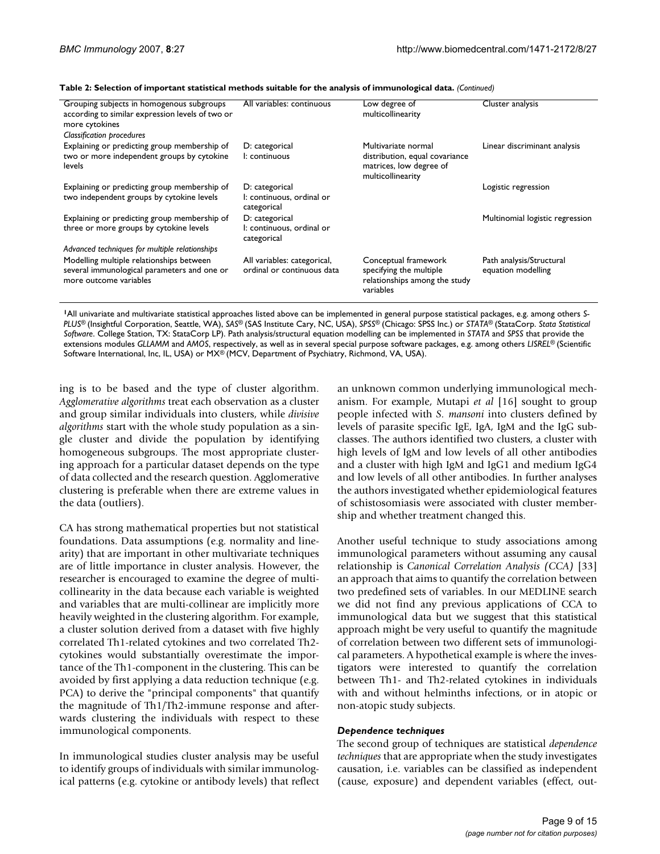| Grouping subjects in homogenous subgroups<br>according to similar expression levels of two or                     | All variables: continuous                                 | Low degree of<br>multicollinearity                                                            | Cluster analysis                               |
|-------------------------------------------------------------------------------------------------------------------|-----------------------------------------------------------|-----------------------------------------------------------------------------------------------|------------------------------------------------|
| more cytokines                                                                                                    |                                                           |                                                                                               |                                                |
| <b>Classification procedures</b>                                                                                  |                                                           |                                                                                               |                                                |
| Explaining or predicting group membership of                                                                      | D: categorical                                            | Multivariate normal                                                                           | Linear discriminant analysis                   |
| two or more independent groups by cytokine<br>levels                                                              | I: continuous                                             | distribution, equal covariance<br>matrices, low degree of<br>multicollinearity                |                                                |
| Explaining or predicting group membership of                                                                      | D: categorical                                            |                                                                                               | Logistic regression                            |
| two independent groups by cytokine levels                                                                         | I: continuous, ordinal or<br>categorical                  |                                                                                               |                                                |
| Explaining or predicting group membership of                                                                      | D: categorical                                            |                                                                                               | Multinomial logistic regression                |
| three or more groups by cytokine levels                                                                           | I: continuous, ordinal or<br>categorical                  |                                                                                               |                                                |
| Advanced techniques for multiple relationships                                                                    |                                                           |                                                                                               |                                                |
| Modelling multiple relationships between<br>several immunological parameters and one or<br>more outcome variables | All variables: categorical,<br>ordinal or continuous data | Conceptual framework<br>specifying the multiple<br>relationships among the study<br>variables | Path analysis/Structural<br>equation modelling |
|                                                                                                                   |                                                           |                                                                                               |                                                |

**Table 2: Selection of important statistical methods suitable for the analysis of immunological data.** *(Continued)*

**1**All univariate and multivariate statistical approaches listed above can be implemented in general purpose statistical packages, e.g. among others *S-PLUS*® (Insightful Corporation, Seattle, WA), *SAS*® (SAS Institute Cary, NC, USA), *SPSS*® (Chicago: SPSS Inc.) or *STATA*® (StataCorp. *Stata Statistical Software*. College Station, TX: StataCorp LP). Path analysis/structural equation modelling can be implemented in *STATA* and *SPSS* that provide the extensions modules *GLLAMM* and *AMOS*, respectively, as well as in several special purpose software packages, e.g. among others *LISREL*® (Scientific Software International, Inc, IL, USA) or MX® (MCV, Department of Psychiatry, Richmond, VA, USA).

ing is to be based and the type of cluster algorithm. *Agglomerative algorithms* treat each observation as a cluster and group similar individuals into clusters, while *divisive algorithms* start with the whole study population as a single cluster and divide the population by identifying homogeneous subgroups. The most appropriate clustering approach for a particular dataset depends on the type of data collected and the research question. Agglomerative clustering is preferable when there are extreme values in the data (outliers).

CA has strong mathematical properties but not statistical foundations. Data assumptions (e.g. normality and linearity) that are important in other multivariate techniques are of little importance in cluster analysis. However, the researcher is encouraged to examine the degree of multicollinearity in the data because each variable is weighted and variables that are multi-collinear are implicitly more heavily weighted in the clustering algorithm. For example, a cluster solution derived from a dataset with five highly correlated Th1-related cytokines and two correlated Th2 cytokines would substantially overestimate the importance of the Th1-component in the clustering. This can be avoided by first applying a data reduction technique (e.g. PCA) to derive the "principal components" that quantify the magnitude of Th1/Th2-immune response and afterwards clustering the individuals with respect to these immunological components.

In immunological studies cluster analysis may be useful to identify groups of individuals with similar immunological patterns (e.g. cytokine or antibody levels) that reflect an unknown common underlying immunological mechanism. For example, Mutapi *et al* [16] sought to group people infected with *S. mansoni* into clusters defined by levels of parasite specific IgE, IgA, IgM and the IgG subclasses. The authors identified two clusters, a cluster with high levels of IgM and low levels of all other antibodies and a cluster with high IgM and IgG1 and medium IgG4 and low levels of all other antibodies. In further analyses the authors investigated whether epidemiological features of schistosomiasis were associated with cluster membership and whether treatment changed this.

Another useful technique to study associations among immunological parameters without assuming any causal relationship is *Canonical Correlation Analysis (CCA)* [33] an approach that aims to quantify the correlation between two predefined sets of variables. In our MEDLINE search we did not find any previous applications of CCA to immunological data but we suggest that this statistical approach might be very useful to quantify the magnitude of correlation between two different sets of immunological parameters. A hypothetical example is where the investigators were interested to quantify the correlation between Th1- and Th2-related cytokines in individuals with and without helminths infections, or in atopic or non-atopic study subjects.

# *Dependence techniques*

The second group of techniques are statistical *dependence techniques* that are appropriate when the study investigates causation, i.e. variables can be classified as independent (cause, exposure) and dependent variables (effect, out-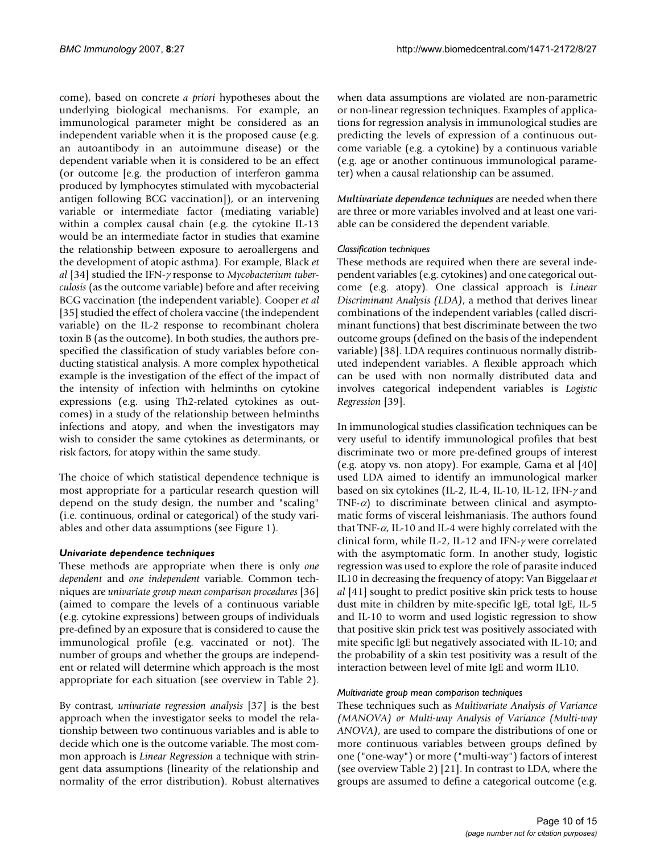come), based on concrete *a priori* hypotheses about the underlying biological mechanisms. For example, an immunological parameter might be considered as an independent variable when it is the proposed cause (e.g. an autoantibody in an autoimmune disease) or the dependent variable when it is considered to be an effect (or outcome [e.g. the production of interferon gamma produced by lymphocytes stimulated with mycobacterial antigen following BCG vaccination]), or an intervening variable or intermediate factor (mediating variable) within a complex causal chain (e.g. the cytokine IL-13 would be an intermediate factor in studies that examine the relationship between exposure to aeroallergens and the development of atopic asthma). For example, Black *et al* [34] studied the IFN-<sup>γ</sup> response to *Mycobacterium tuberculosis* (as the outcome variable) before and after receiving BCG vaccination (the independent variable). Cooper *et al* [35] studied the effect of cholera vaccine (the independent variable) on the IL-2 response to recombinant cholera toxin B (as the outcome). In both studies, the authors prespecified the classification of study variables before conducting statistical analysis. A more complex hypothetical example is the investigation of the effect of the impact of the intensity of infection with helminths on cytokine expressions (e.g. using Th2-related cytokines as outcomes) in a study of the relationship between helminths infections and atopy, and when the investigators may wish to consider the same cytokines as determinants, or risk factors, for atopy within the same study.

The choice of which statistical dependence technique is most appropriate for a particular research question will depend on the study design, the number and "scaling" (i.e. continuous, ordinal or categorical) of the study variables and other data assumptions (see Figure 1).

#### *Univariate dependence techniques*

These methods are appropriate when there is only *one dependent* and *one independent* variable. Common techniques are *univariate group mean comparison procedures* [36] (aimed to compare the levels of a continuous variable (e.g. cytokine expressions) between groups of individuals pre-defined by an exposure that is considered to cause the immunological profile (e.g. vaccinated or not). The number of groups and whether the groups are independent or related will determine which approach is the most appropriate for each situation (see overview in Table 2).

By contrast, *univariate regression analysis* [37] is the best approach when the investigator seeks to model the relationship between two continuous variables and is able to decide which one is the outcome variable. The most common approach is *Linear Regression* a technique with stringent data assumptions (linearity of the relationship and normality of the error distribution). Robust alternatives when data assumptions are violated are non-parametric or non-linear regression techniques. Examples of applications for regression analysis in immunological studies are predicting the levels of expression of a continuous outcome variable (e.g. a cytokine) by a continuous variable (e.g. age or another continuous immunological parameter) when a causal relationship can be assumed.

*Multivariate dependence techniques* are needed when there are three or more variables involved and at least one variable can be considered the dependent variable.

#### *Classification techniques*

These methods are required when there are several independent variables (e.g. cytokines) and one categorical outcome (e.g. atopy). One classical approach is *Linear Discriminant Analysis (LDA)*, a method that derives linear combinations of the independent variables (called discriminant functions) that best discriminate between the two outcome groups (defined on the basis of the independent variable) [38]. LDA requires continuous normally distributed independent variables. A flexible approach which can be used with non normally distributed data and involves categorical independent variables is *Logistic Regression* [39].

In immunological studies classification techniques can be very useful to identify immunological profiles that best discriminate two or more pre-defined groups of interest (e.g. atopy vs. non atopy). For example, Gama et al [40] used LDA aimed to identify an immunological marker based on six cytokines (IL-2, IL-4, IL-10, IL-12, IFN- $\gamma$  and TNF- $\alpha$ ) to discriminate between clinical and asymptomatic forms of visceral leishmaniasis. The authors found that TNF- $\alpha$ , IL-10 and IL-4 were highly correlated with the clinical form, while IL-2, IL-12 and IFN-<sup>γ</sup> were correlated with the asymptomatic form. In another study, logistic regression was used to explore the role of parasite induced IL10 in decreasing the frequency of atopy: Van Biggelaar *et al* [41] sought to predict positive skin prick tests to house dust mite in children by mite-specific IgE, total IgE, IL-5 and IL-10 to worm and used logistic regression to show that positive skin prick test was positively associated with mite specific IgE but negatively associated with IL-10; and the probability of a skin test positivity was a result of the interaction between level of mite IgE and worm IL10.

#### *Multivariate group mean comparison techniques*

These techniques such as *Multivariate Analysis of Variance (MANOVA) or Multi-way Analysis of Variance (Multi-way ANOVA)*, are used to compare the distributions of one or more continuous variables between groups defined by one ("one-way") or more ("multi-way") factors of interest (see overview Table 2) [21]. In contrast to LDA, where the groups are assumed to define a categorical outcome (e.g.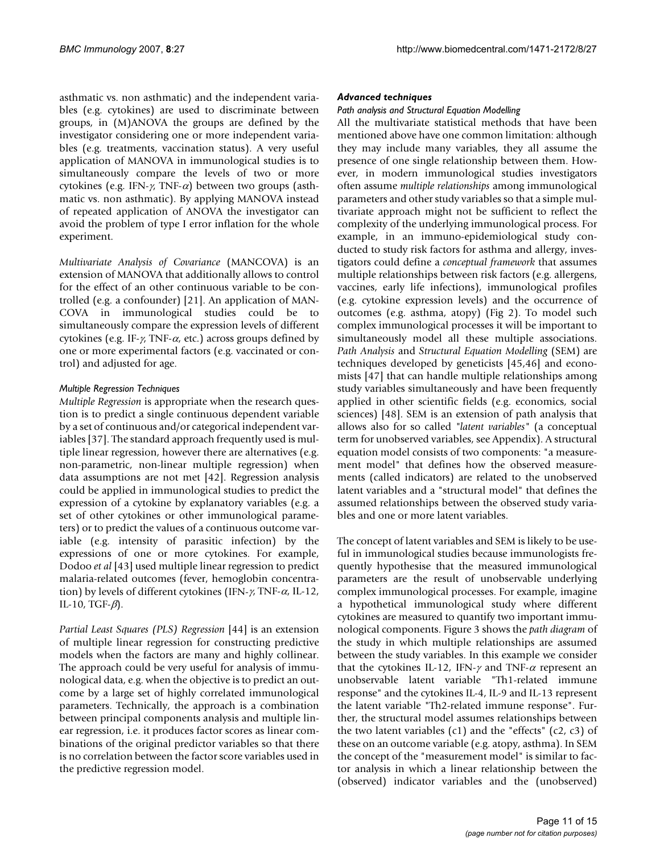asthmatic vs. non asthmatic) and the independent variables (e.g. cytokines) are used to discriminate between groups, in (M)ANOVA the groups are defined by the investigator considering one or more independent variables (e.g. treatments, vaccination status). A very useful application of MANOVA in immunological studies is to simultaneously compare the levels of two or more cytokines (e.g. IFN- $\gamma$ , TNF- $\alpha$ ) between two groups (asthmatic vs. non asthmatic). By applying MANOVA instead of repeated application of ANOVA the investigator can avoid the problem of type I error inflation for the whole experiment.

*Multivariate Analysis of Covariance* (MANCOVA) is an extension of MANOVA that additionally allows to control for the effect of an other continuous variable to be controlled (e.g. a confounder) [21]. An application of MAN-COVA in immunological studies could be to simultaneously compare the expression levels of different cytokines (e.g. IF- $\gamma$ , TNF- $\alpha$ , etc.) across groups defined by one or more experimental factors (e.g. vaccinated or control) and adjusted for age.

#### *Multiple Regression Techniques*

*Multiple Regression* is appropriate when the research question is to predict a single continuous dependent variable by a set of continuous and/or categorical independent variables [37]. The standard approach frequently used is multiple linear regression, however there are alternatives (e.g. non-parametric, non-linear multiple regression) when data assumptions are not met [42]. Regression analysis could be applied in immunological studies to predict the expression of a cytokine by explanatory variables (e.g. a set of other cytokines or other immunological parameters) or to predict the values of a continuous outcome variable (e.g. intensity of parasitic infection) by the expressions of one or more cytokines. For example, Dodoo *et al* [43] used multiple linear regression to predict malaria-related outcomes (fever, hemoglobin concentration) by levels of different cytokines (IFN- $\gamma$ , TNF- $\alpha$ , IL-12, IL-10, TGF- $\beta$ ).

*Partial Least Squares (PLS) Regression* [44] is an extension of multiple linear regression for constructing predictive models when the factors are many and highly collinear. The approach could be very useful for analysis of immunological data, e.g. when the objective is to predict an outcome by a large set of highly correlated immunological parameters. Technically, the approach is a combination between principal components analysis and multiple linear regression, i.e. it produces factor scores as linear combinations of the original predictor variables so that there is no correlation between the factor score variables used in the predictive regression model.

#### *Advanced techniques*

#### *Path analysis and Structural Equation Modelling*

All the multivariate statistical methods that have been mentioned above have one common limitation: although they may include many variables, they all assume the presence of one single relationship between them. However, in modern immunological studies investigators often assume *multiple relationships* among immunological parameters and other study variables so that a simple multivariate approach might not be sufficient to reflect the complexity of the underlying immunological process. For example, in an immuno-epidemiological study conducted to study risk factors for asthma and allergy, investigators could define a *conceptual framework* that assumes multiple relationships between risk factors (e.g. allergens, vaccines, early life infections), immunological profiles (e.g. cytokine expression levels) and the occurrence of outcomes (e.g. asthma, atopy) (Fig 2). To model such complex immunological processes it will be important to simultaneously model all these multiple associations. *Path Analysis* and *Structural Equation Modelling* (SEM) are techniques developed by geneticists [45,46] and economists [47] that can handle multiple relationships among study variables simultaneously and have been frequently applied in other scientific fields (e.g. economics, social sciences) [48]. SEM is an extension of path analysis that allows also for so called *"latent variables"* (a conceptual term for unobserved variables, see Appendix). A structural equation model consists of two components: "a measurement model" that defines how the observed measurements (called indicators) are related to the unobserved latent variables and a "structural model" that defines the assumed relationships between the observed study variables and one or more latent variables.

The concept of latent variables and SEM is likely to be useful in immunological studies because immunologists frequently hypothesise that the measured immunological parameters are the result of unobservable underlying complex immunological processes. For example, imagine a hypothetical immunological study where different cytokines are measured to quantify two important immunological components. Figure 3 shows the *path diagram* of the study in which multiple relationships are assumed between the study variables. In this example we consider that the cytokines IL-12, IFN- $\gamma$  and TNF- $\alpha$  represent an unobservable latent variable "Th1-related immune response" and the cytokines IL-4, IL-9 and IL-13 represent the latent variable "Th2-related immune response". Further, the structural model assumes relationships between the two latent variables  $(c1)$  and the "effects"  $(c2, c3)$  of these on an outcome variable (e.g. atopy, asthma). In SEM the concept of the "measurement model" is similar to factor analysis in which a linear relationship between the (observed) indicator variables and the (unobserved)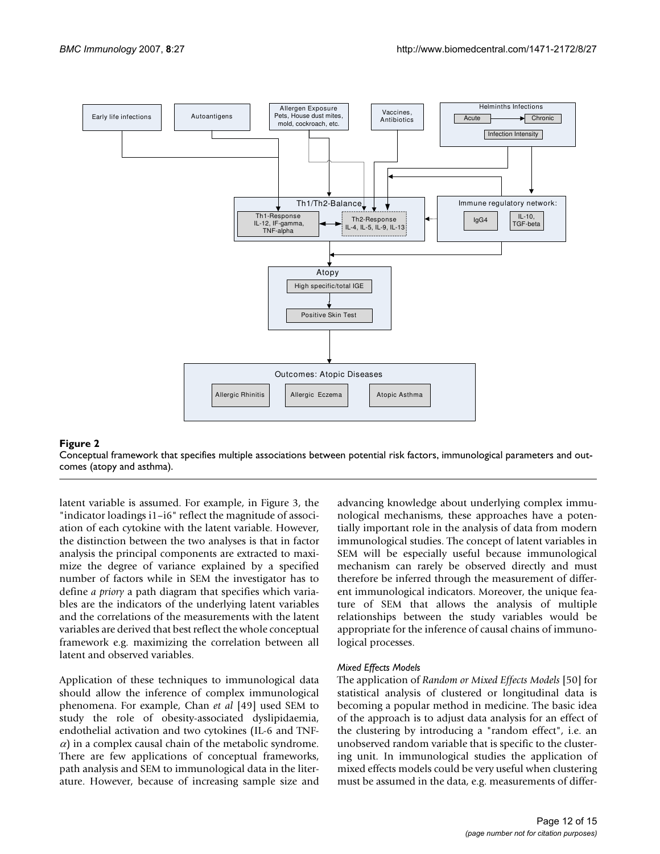

# comes (atopy and asthma) **Figure 2** Conceptual framework that specifies multiple associations between potential risk factors, immunological parameters and out-

Conceptual framework that specifies multiple associations between potential risk factors, immunological parameters and outcomes (atopy and asthma).

latent variable is assumed. For example, in Figure 3, the "indicator loadings i1–i6" reflect the magnitude of association of each cytokine with the latent variable. However, the distinction between the two analyses is that in factor analysis the principal components are extracted to maximize the degree of variance explained by a specified number of factors while in SEM the investigator has to define *a priory* a path diagram that specifies which variables are the indicators of the underlying latent variables and the correlations of the measurements with the latent variables are derived that best reflect the whole conceptual framework e.g. maximizing the correlation between all latent and observed variables.

Application of these techniques to immunological data should allow the inference of complex immunological phenomena. For example, Chan *et al* [49] used SEM to study the role of obesity-associated dyslipidaemia, endothelial activation and two cytokines (IL-6 and TNF- $\alpha$ ) in a complex causal chain of the metabolic syndrome. There are few applications of conceptual frameworks, path analysis and SEM to immunological data in the literature. However, because of increasing sample size and

advancing knowledge about underlying complex immunological mechanisms, these approaches have a potentially important role in the analysis of data from modern immunological studies. The concept of latent variables in SEM will be especially useful because immunological mechanism can rarely be observed directly and must therefore be inferred through the measurement of different immunological indicators. Moreover, the unique feature of SEM that allows the analysis of multiple relationships between the study variables would be appropriate for the inference of causal chains of immunological processes.

# *Mixed Effects Models*

The application of *Random or Mixed Effects Models* [50] for statistical analysis of clustered or longitudinal data is becoming a popular method in medicine. The basic idea of the approach is to adjust data analysis for an effect of the clustering by introducing a "random effect", i.e. an unobserved random variable that is specific to the clustering unit. In immunological studies the application of mixed effects models could be very useful when clustering must be assumed in the data, e.g. measurements of differ-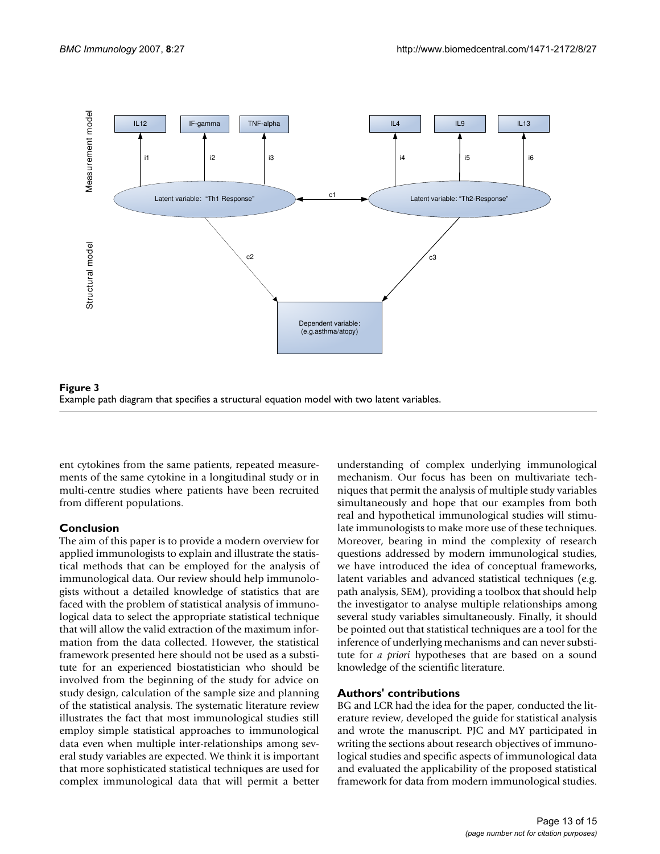

Example path diagram that specifies a structural equation model with two latent variables.

ent cytokines from the same patients, repeated measurements of the same cytokine in a longitudinal study or in multi-centre studies where patients have been recruited from different populations.

# **Conclusion**

The aim of this paper is to provide a modern overview for applied immunologists to explain and illustrate the statistical methods that can be employed for the analysis of immunological data. Our review should help immunologists without a detailed knowledge of statistics that are faced with the problem of statistical analysis of immunological data to select the appropriate statistical technique that will allow the valid extraction of the maximum information from the data collected. However, the statistical framework presented here should not be used as a substitute for an experienced biostatistician who should be involved from the beginning of the study for advice on study design, calculation of the sample size and planning of the statistical analysis. The systematic literature review illustrates the fact that most immunological studies still employ simple statistical approaches to immunological data even when multiple inter-relationships among several study variables are expected. We think it is important that more sophisticated statistical techniques are used for complex immunological data that will permit a better understanding of complex underlying immunological mechanism. Our focus has been on multivariate techniques that permit the analysis of multiple study variables simultaneously and hope that our examples from both real and hypothetical immunological studies will stimulate immunologists to make more use of these techniques. Moreover, bearing in mind the complexity of research questions addressed by modern immunological studies, we have introduced the idea of conceptual frameworks, latent variables and advanced statistical techniques (e.g. path analysis, SEM), providing a toolbox that should help the investigator to analyse multiple relationships among several study variables simultaneously. Finally, it should be pointed out that statistical techniques are a tool for the inference of underlying mechanisms and can never substitute for *a priori* hypotheses that are based on a sound knowledge of the scientific literature.

# **Authors' contributions**

BG and LCR had the idea for the paper, conducted the literature review, developed the guide for statistical analysis and wrote the manuscript. PJC and MY participated in writing the sections about research objectives of immunological studies and specific aspects of immunological data and evaluated the applicability of the proposed statistical framework for data from modern immunological studies.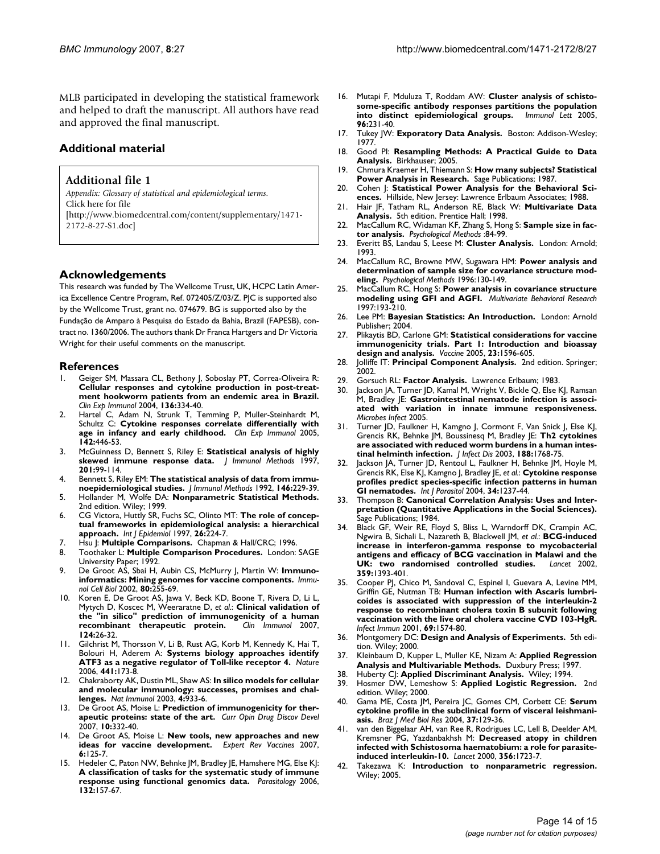MLB participated in developing the statistical framework and helped to draft the manuscript. All authors have read and approved the final manuscript.

## **Additional material**

#### **Additional file 1**

*Appendix: Glossary of statistical and epidemiological terms.* Click here for file [\[http://www.biomedcentral.com/content/supplementary/1471-](http://www.biomedcentral.com/content/supplementary/1471-2172-8-27-S1.doc) 2172-8-27-S1.doc]

#### **Acknowledgements**

This research was funded by The Wellcome Trust, UK, HCPC Latin America Excellence Centre Program, Ref. 072405/Z/03/Z. PJC is supported also by the Wellcome Trust, grant no. 074679. BG is supported also by the Fundação de Amparo à Pesquisa do Estado da Bahia, Brazil (FAPESB), contract no. 1360/2006. The authors thank Dr Franca Hartgers and Dr Victoria Wright for their useful comments on the manuscript.

#### **References**

- 1. Geiger SM, Massara CL, Bethony J, Soboslay PT, Correa-Oliveira R: **[Cellular responses and cytokine production in post-treat](http://www.ncbi.nlm.nih.gov/entrez/query.fcgi?cmd=Retrieve&db=PubMed&dopt=Abstract&list_uids=15086399)ment hookworm patients from an endemic area in Brazil.** *Clin Exp Immunol* 2004, **136:**334-40.
- Hartel C, Adam N, Strunk T, Temming P, Muller-Steinhardt M, Schultz C: **[Cytokine responses correlate differentially with](http://www.ncbi.nlm.nih.gov/entrez/query.fcgi?cmd=Retrieve&db=PubMed&dopt=Abstract&list_uids=16297156) [age in infancy and early childhood.](http://www.ncbi.nlm.nih.gov/entrez/query.fcgi?cmd=Retrieve&db=PubMed&dopt=Abstract&list_uids=16297156)** *Clin Exp Immunol* 2005, **142:**446-53.
- 3. McGuinness D, Bennett S, Riley E: **[Statistical analysis of highly](http://www.ncbi.nlm.nih.gov/entrez/query.fcgi?cmd=Retrieve&db=PubMed&dopt=Abstract&list_uids=9032413) [skewed immune response data.](http://www.ncbi.nlm.nih.gov/entrez/query.fcgi?cmd=Retrieve&db=PubMed&dopt=Abstract&list_uids=9032413)** *J Immunol Methods* 1997, **201:**99-114.
- 4. Bennett S, Riley EM: **[The statistical analysis of data from immu](http://www.ncbi.nlm.nih.gov/entrez/query.fcgi?cmd=Retrieve&db=PubMed&dopt=Abstract&list_uids=1538144)[noepidemiological studies.](http://www.ncbi.nlm.nih.gov/entrez/query.fcgi?cmd=Retrieve&db=PubMed&dopt=Abstract&list_uids=1538144)** *J Immunol Methods* 1992, **146:**229-39.
- 5. Hollander M, Wolfe DA: **Nonparametric Statistical Methods.** 2nd edition. Wiley; 1999.
- 6. CG Victora, Huttly SR, Fuchs SC, Olinto MT: **[The role of concep](http://www.ncbi.nlm.nih.gov/entrez/query.fcgi?cmd=Retrieve&db=PubMed&dopt=Abstract&list_uids=9126524)[tual frameworks in epidemiological analysis: a hierarchical](http://www.ncbi.nlm.nih.gov/entrez/query.fcgi?cmd=Retrieve&db=PubMed&dopt=Abstract&list_uids=9126524) [approach.](http://www.ncbi.nlm.nih.gov/entrez/query.fcgi?cmd=Retrieve&db=PubMed&dopt=Abstract&list_uids=9126524)** *Int J Epidemiol* 1997, **26:**224-7.
- 7. Hsu J: **Multiple Comparisons.** Chapman & Hall/CRC; 1996.<br>8. Toothaker J: **Multiple Comparison Procedures**. London:
- 8. Toothaker L: **[Multiple Comparison Procedures.](http://www.ncbi.nlm.nih.gov/entrez/query.fcgi?cmd=Retrieve&db=PubMed&dopt=Abstract&list_uids=1526081)** London: SAGE University Paper; 1992.
- 9. De Groot AS, Sbai H, Aubin CS, McMurry J, Martin W: **[Immuno](http://www.ncbi.nlm.nih.gov/entrez/query.fcgi?cmd=Retrieve&db=PubMed&dopt=Abstract&list_uids=12067413)[informatics: Mining genomes for vaccine components.](http://www.ncbi.nlm.nih.gov/entrez/query.fcgi?cmd=Retrieve&db=PubMed&dopt=Abstract&list_uids=12067413)** *Immunol Cell Biol* 2002, **80:**255-69.
- 10. Koren E, De Groot AS, Jawa V, Beck KD, Boone T, Rivera D, Li L, Mytych D, Koscec M, Weeraratne D, *et al.*: **[Clinical validation of](http://www.ncbi.nlm.nih.gov/entrez/query.fcgi?cmd=Retrieve&db=PubMed&dopt=Abstract&list_uids=17490912) [the "in silico" prediction of immunogenicity of a human](http://www.ncbi.nlm.nih.gov/entrez/query.fcgi?cmd=Retrieve&db=PubMed&dopt=Abstract&list_uids=17490912)** [recombinant therapeutic protein.](http://www.ncbi.nlm.nih.gov/entrez/query.fcgi?cmd=Retrieve&db=PubMed&dopt=Abstract&list_uids=17490912) **124:**26-32.
- 11. Gilchrist M, Thorsson V, Li B, Rust AG, Korb M, Kennedy K, Hai T, Bolouri H, Aderem A: **[Systems biology approaches identify](http://www.ncbi.nlm.nih.gov/entrez/query.fcgi?cmd=Retrieve&db=PubMed&dopt=Abstract&list_uids=16688168) [ATF3 as a negative regulator of Toll-like receptor 4.](http://www.ncbi.nlm.nih.gov/entrez/query.fcgi?cmd=Retrieve&db=PubMed&dopt=Abstract&list_uids=16688168)** *Nature* 2006, **441:**173-8.
- 12. Chakraborty AK, Dustin ML, Shaw AS: **[In silico models for cellular](http://www.ncbi.nlm.nih.gov/entrez/query.fcgi?cmd=Retrieve&db=PubMed&dopt=Abstract&list_uids=14515121) [and molecular immunology: successes, promises and chal](http://www.ncbi.nlm.nih.gov/entrez/query.fcgi?cmd=Retrieve&db=PubMed&dopt=Abstract&list_uids=14515121)[lenges.](http://www.ncbi.nlm.nih.gov/entrez/query.fcgi?cmd=Retrieve&db=PubMed&dopt=Abstract&list_uids=14515121)** *Nat Immunol* 2003, **4:**933-6.
- 13. De Groot AS, Moise L: **[Prediction of immunogenicity for ther](http://www.ncbi.nlm.nih.gov/entrez/query.fcgi?cmd=Retrieve&db=PubMed&dopt=Abstract&list_uids=17554860)[apeutic proteins: state of the art.](http://www.ncbi.nlm.nih.gov/entrez/query.fcgi?cmd=Retrieve&db=PubMed&dopt=Abstract&list_uids=17554860)** *Curr Opin Drug Discov Devel* 2007, **10:**332-40.
- 14. De Groot AS, Moise L: **[New tools, new approaches and new](http://www.ncbi.nlm.nih.gov/entrez/query.fcgi?cmd=Retrieve&db=PubMed&dopt=Abstract&list_uids=17408360) [ideas for vaccine development.](http://www.ncbi.nlm.nih.gov/entrez/query.fcgi?cmd=Retrieve&db=PubMed&dopt=Abstract&list_uids=17408360)** *Expert Rev Vaccines* 2007, **6:**125-7.
- 15. Hedeler C, Paton NW, Behnke JM, Bradley JE, Hamshere MG, Else KJ: **[A classification of tasks for the systematic study of immune](http://www.ncbi.nlm.nih.gov/entrez/query.fcgi?cmd=Retrieve&db=PubMed&dopt=Abstract&list_uids=16472413) [response using functional genomics data.](http://www.ncbi.nlm.nih.gov/entrez/query.fcgi?cmd=Retrieve&db=PubMed&dopt=Abstract&list_uids=16472413)** *Parasitology* 2006, **132:**157-67.
- 16. Mutapi F, Mduluza T, Roddam AW: **[Cluster analysis of schisto](http://www.ncbi.nlm.nih.gov/entrez/query.fcgi?cmd=Retrieve&db=PubMed&dopt=Abstract&list_uids=15585328)[some-specific antibody responses partitions the population](http://www.ncbi.nlm.nih.gov/entrez/query.fcgi?cmd=Retrieve&db=PubMed&dopt=Abstract&list_uids=15585328) [into distinct epidemiological groups.](http://www.ncbi.nlm.nih.gov/entrez/query.fcgi?cmd=Retrieve&db=PubMed&dopt=Abstract&list_uids=15585328)** *Immunol Lett* 2005, **96:**231-40.
- 17. Tukey JW: **Exporatory Data Analysis.** Boston: Addison-Wesley; 1977.
- 18. Good PI: **Resampling Methods: A Practical Guide to Data Analysis.** Birkhauser; 2005.
- 19. Chmura Kraemer H, Thiemann S: **How many subjects? Statistical Power Analysis in Research.** Sage Publications; 1987.
- 20. Cohen J: **Statistical Power Analysis for the Behavioral Sciences.** Hillside, New Jersey: Lawrence Erlbaum Associates; 1988.
- 21. Hair JF, Tatham RL, Anderson RE, Black W: **Multivariate Data Analysis.** 5th edition. Prentice Hall; 1998.
- 22. MacCallum RC, Widaman KF, Zhang S, Hong S: **Sample size in factor analysis.** *Psychological Methods* :84-99.
- 23. Everitt BS, Landau S, Leese M: **Cluster Analysis.** London: Arnold; 1993.
- 24. MacCallum RC, Browne MW, Sugawara HM: **Power analysis and determination of sample size for covariance structure modeling.** *Psychological Methods* 1996:130-149.
- 25. MacCallum RC, Hong S: **Power analysis in covariance structure modeling using GFI and AGFI.** *Multivariate Behavioral Research* 1997:193-210.
- 26. Lee PM: **Bayesian Statistics: An Introduction.** London: Arnold Publisher; 2004.
- 27. Plikaytis BD, Carlone GM: **[Statistical considerations for vaccine](http://www.ncbi.nlm.nih.gov/entrez/query.fcgi?cmd=Retrieve&db=PubMed&dopt=Abstract&list_uids=15694512) [immunogenicity trials. Part 1: Introduction and bioassay](http://www.ncbi.nlm.nih.gov/entrez/query.fcgi?cmd=Retrieve&db=PubMed&dopt=Abstract&list_uids=15694512) [design and analysis.](http://www.ncbi.nlm.nih.gov/entrez/query.fcgi?cmd=Retrieve&db=PubMed&dopt=Abstract&list_uids=15694512)** *Vaccine* 2005, **23:**1596-605.
- 28. Jolliffe IT: **Principal Component Analysis.** 2nd edition. Springer; 2002.
- 29. Gorsuch RL: **Factor Analysis.** Lawrence Erlbaum; 1983.
- 30. Jackson JA, Turner JD, Kamal M, Wright V, Bickle Q, Else KJ, Ramsan M, Bradley JE: **[Gastrointestinal nematode infection is associ](http://www.ncbi.nlm.nih.gov/entrez/query.fcgi?cmd=Retrieve&db=PubMed&dopt=Abstract&list_uids=16293435)[ated with variation in innate immune responsiveness.](http://www.ncbi.nlm.nih.gov/entrez/query.fcgi?cmd=Retrieve&db=PubMed&dopt=Abstract&list_uids=16293435)** *Microbes Infect* 2005.
- 31. Turner JD, Faulkner H, Kamgno J, Cormont F, Van Snick J, Else KJ, Grencis RK, Behnke JM, Boussinesq M, Bradley JE: **[Th2 cytokines](http://www.ncbi.nlm.nih.gov/entrez/query.fcgi?cmd=Retrieve&db=PubMed&dopt=Abstract&list_uids=14639550) [are associated with reduced worm burdens in a human intes](http://www.ncbi.nlm.nih.gov/entrez/query.fcgi?cmd=Retrieve&db=PubMed&dopt=Abstract&list_uids=14639550)[tinal helminth infection.](http://www.ncbi.nlm.nih.gov/entrez/query.fcgi?cmd=Retrieve&db=PubMed&dopt=Abstract&list_uids=14639550)** *J Infect Dis* 2003, **188:**1768-75.
- 32. Jackson JA, Turner JD, Rentoul L, Faulkner H, Behnke JM, Hoyle M, Grencis RK, Else KJ, Kamgno J, Bradley JE, *et al.*: **[Cytokine response](http://www.ncbi.nlm.nih.gov/entrez/query.fcgi?cmd=Retrieve&db=PubMed&dopt=Abstract&list_uids=15491586) [profiles predict species-specific infection patterns in human](http://www.ncbi.nlm.nih.gov/entrez/query.fcgi?cmd=Retrieve&db=PubMed&dopt=Abstract&list_uids=15491586) [GI nematodes.](http://www.ncbi.nlm.nih.gov/entrez/query.fcgi?cmd=Retrieve&db=PubMed&dopt=Abstract&list_uids=15491586)** *Int J Parasitol* 2004, **34:**1237-44.
- 33. Thompson B: **Canonical Correlation Analysis: Uses and Interpretation (Quantitative Applications in the Social Sciences).** Sage Publications; 1984.
- 34. Black GF, Weir RE, Floyd S, Bliss L, Warndorff DK, Crampin AC, Ngwira B, Sichali L, Nazareth B, Blackwell JM, *et al.*: **[BCG-induced](http://www.ncbi.nlm.nih.gov/entrez/query.fcgi?cmd=Retrieve&db=PubMed&dopt=Abstract&list_uids=11978337) [increase in interferon-gamma response to mycobacterial](http://www.ncbi.nlm.nih.gov/entrez/query.fcgi?cmd=Retrieve&db=PubMed&dopt=Abstract&list_uids=11978337) antigens and efficacy of BCG vaccination in Malawi and the [UK: two randomised controlled studies.](http://www.ncbi.nlm.nih.gov/entrez/query.fcgi?cmd=Retrieve&db=PubMed&dopt=Abstract&list_uids=11978337)** *Lancet* 2002, **359:**1393-401.
- 35. Cooper PJ, Chico M, Sandoval C, Espinel I, Guevara A, Levine MM, Griffin GE, Nutman TB: **[Human infection with Ascaris lumbri](http://www.ncbi.nlm.nih.gov/entrez/query.fcgi?cmd=Retrieve&db=PubMed&dopt=Abstract&list_uids=11179329)coides is associated with suppression of the interleukin-2 response to recombinant cholera toxin B subunit following [vaccination with the live oral cholera vaccine CVD 103-HgR.](http://www.ncbi.nlm.nih.gov/entrez/query.fcgi?cmd=Retrieve&db=PubMed&dopt=Abstract&list_uids=11179329)** *Infect Immun* 2001, **69:**1574-80.
- 36. Montgomery DC: **Design and Analysis of Experiments.** 5th edition. Wiley; 2000.
- 37. Kleinbaum D, Kupper L, Muller KE, Nizam A: **Applied Regression Analysis and Multivariable Methods.** Duxbury Press; 1997.
- 38. Huberty CJ: **Applied Discriminant Analysis.** Wiley; 1994.
- 39. Hosmer DW, Lemeshow S: **[Applied Logistic Regression.](http://www.ncbi.nlm.nih.gov/entrez/query.fcgi?cmd=Retrieve&db=PubMed&dopt=Abstract&list_uids=10886529)** 2nd edition. Wiley; 2000.
- 40. Gama ME, Costa JM, Pereira JC, Gomes CM, Corbett CE: **[Serum](http://www.ncbi.nlm.nih.gov/entrez/query.fcgi?cmd=Retrieve&db=PubMed&dopt=Abstract&list_uids=14689054) [cytokine profile in the subclinical form of visceral leishmani](http://www.ncbi.nlm.nih.gov/entrez/query.fcgi?cmd=Retrieve&db=PubMed&dopt=Abstract&list_uids=14689054)[asis.](http://www.ncbi.nlm.nih.gov/entrez/query.fcgi?cmd=Retrieve&db=PubMed&dopt=Abstract&list_uids=14689054)** *Braz J Med Biol Res* 2004, **37:**129-36.
- 41. van den Biggelaar AH, van Ree R, Rodrigues LC, Lell B, Deelder AM, Kremsner PG, Yazdanbakhsh M: **[Decreased atopy in children](http://www.ncbi.nlm.nih.gov/entrez/query.fcgi?cmd=Retrieve&db=PubMed&dopt=Abstract&list_uids=11095260) [infected with Schistosoma haematobium: a role for parasite](http://www.ncbi.nlm.nih.gov/entrez/query.fcgi?cmd=Retrieve&db=PubMed&dopt=Abstract&list_uids=11095260)[induced interleukin-10.](http://www.ncbi.nlm.nih.gov/entrez/query.fcgi?cmd=Retrieve&db=PubMed&dopt=Abstract&list_uids=11095260)** *Lancet* 2000, **356:**1723-7.
- 42. Takezawa K: **Introduction to nonparametric regression.** Wiley; 2005.